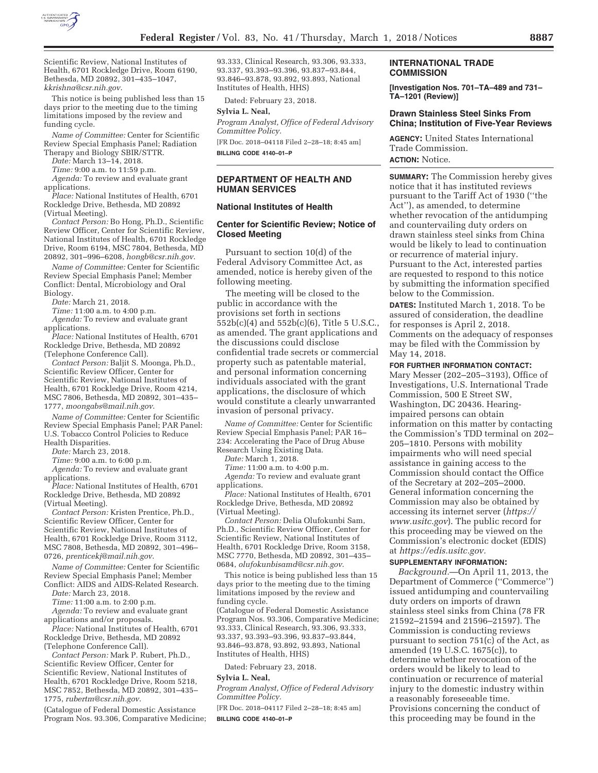

Scientific Review, National Institutes of Health, 6701 Rockledge Drive, Room 6190, Bethesda, MD 20892, 301–435–1047, *kkrishna@csr.nih.gov*.

This notice is being published less than 15 days prior to the meeting due to the timing limitations imposed by the review and funding cycle.

*Name of Committee:* Center for Scientific Review Special Emphasis Panel; Radiation Therapy and Biology SBIR/STTR.

*Date:* March 13–14, 2018.

*Time:* 9:00 a.m. to 11:59 p.m.

*Agenda:* To review and evaluate grant applications.

*Place:* National Institutes of Health, 6701 Rockledge Drive, Bethesda, MD 20892 (Virtual Meeting).

*Contact Person:* Bo Hong, Ph.D., Scientific Review Officer, Center for Scientific Review, National Institutes of Health, 6701 Rockledge Drive, Room 6194, MSC 7804, Bethesda, MD 20892, 301–996–6208, *hongb@csr.nih.gov*.

*Name of Committee:* Center for Scientific Review Special Emphasis Panel; Member Conflict: Dental, Microbiology and Oral Biology.

*Date:* March 21, 2018.

*Time:* 11:00 a.m. to 4:00 p.m.

*Agenda:* To review and evaluate grant applications.

*Place:* National Institutes of Health, 6701 Rockledge Drive, Bethesda, MD 20892 (Telephone Conference Call).

*Contact Person:* Baljit S. Moonga, Ph.D., Scientific Review Officer, Center for Scientific Review, National Institutes of Health, 6701 Rockledge Drive, Room 4214, MSC 7806, Bethesda, MD 20892, 301–435– 1777, *moongabs@mail.nih.gov*.

*Name of Committee:* Center for Scientific Review Special Emphasis Panel; PAR Panel: U.S. Tobacco Control Policies to Reduce Health Disparities.

*Date:* March 23, 2018.

*Time:* 9:00 a.m. to 6:00 p.m.

*Agenda:* To review and evaluate grant applications.

*Place:* National Institutes of Health, 6701 Rockledge Drive, Bethesda, MD 20892 (Virtual Meeting).

*Contact Person:* Kristen Prentice, Ph.D., Scientific Review Officer, Center for Scientific Review, National Institutes of Health, 6701 Rockledge Drive, Room 3112, MSC 7808, Bethesda, MD 20892, 301–496– 0726, *prenticekj@mail.nih.gov*.

*Name of Committee:* Center for Scientific Review Special Emphasis Panel; Member Conflict: AIDS and AIDS-Related Research.

*Date:* March 23, 2018.

*Time:* 11:00 a.m. to 2:00 p.m.

*Agenda:* To review and evaluate grant applications and/or proposals.

*Place:* National Institutes of Health, 6701 Rockledge Drive, Bethesda, MD 20892 (Telephone Conference Call).

*Contact Person:* Mark P. Rubert, Ph.D., Scientific Review Officer, Center for Scientific Review, National Institutes of Health, 6701 Rockledge Drive, Room 5218, MSC 7852, Bethesda, MD 20892, 301–435– 1775, *rubertm@csr.nih.gov*.

(Catalogue of Federal Domestic Assistance Program Nos. 93.306, Comparative Medicine; 93.333, Clinical Research, 93.306, 93.333, 93.337, 93.393–93.396, 93.837–93.844, 93.846–93.878, 93.892, 93.893, National Institutes of Health, HHS)

Dated: February 23, 2018.

# **Sylvia L. Neal,**

*Program Analyst, Office of Federal Advisory Committee Policy.* 

[FR Doc. 2018–04118 Filed 2–28–18; 8:45 am] **BILLING CODE 4140–01–P** 

## **DEPARTMENT OF HEALTH AND HUMAN SERVICES**

#### **National Institutes of Health**

# **Center for Scientific Review; Notice of Closed Meeting**

Pursuant to section 10(d) of the Federal Advisory Committee Act, as amended, notice is hereby given of the following meeting.

The meeting will be closed to the public in accordance with the provisions set forth in sections 552b(c)(4) and 552b(c)(6), Title 5 U.S.C., as amended. The grant applications and the discussions could disclose confidential trade secrets or commercial property such as patentable material, and personal information concerning individuals associated with the grant applications, the disclosure of which would constitute a clearly unwarranted invasion of personal privacy.

*Name of Committee:* Center for Scientific Review Special Emphasis Panel; PAR 16– 234: Accelerating the Pace of Drug Abuse Research Using Existing Data.

*Date:* March 1, 2018.

*Time:* 11:00 a.m. to 4:00 p.m. *Agenda:* To review and evaluate grant applications.

*Place:* National Institutes of Health, 6701 Rockledge Drive, Bethesda, MD 20892 (Virtual Meeting).

*Contact Person:* Delia Olufokunbi Sam, Ph.D., Scientific Review Officer, Center for Scientific Review, National Institutes of Health, 6701 Rockledge Drive, Room 3158, MSC 7770, Bethesda, MD 20892, 301–435– 0684, *olufokunbisamd@csr.nih.gov*.

This notice is being published less than 15 days prior to the meeting due to the timing limitations imposed by the review and funding cycle.

(Catalogue of Federal Domestic Assistance Program Nos. 93.306, Comparative Medicine; 93.333, Clinical Research, 93.306, 93.333, 93.337, 93.393–93.396, 93.837–93.844, 93.846–93.878, 93.892, 93.893, National Institutes of Health, HHS)

Dated: February 23, 2018.

#### **Sylvia L. Neal,**

*Program Analyst, Office of Federal Advisory Committee Policy.* 

[FR Doc. 2018–04117 Filed 2–28–18; 8:45 am] **BILLING CODE 4140–01–P** 

#### **INTERNATIONAL TRADE COMMISSION**

**[Investigation Nos. 701–TA–489 and 731– TA–1201 (Review)]** 

# **Drawn Stainless Steel Sinks From China; Institution of Five-Year Reviews**

**AGENCY:** United States International Trade Commission. **ACTION:** Notice.

**SUMMARY:** The Commission hereby gives notice that it has instituted reviews pursuant to the Tariff Act of 1930 (''the Act''), as amended, to determine whether revocation of the antidumping and countervailing duty orders on drawn stainless steel sinks from China would be likely to lead to continuation or recurrence of material injury. Pursuant to the Act, interested parties are requested to respond to this notice by submitting the information specified below to the Commission.

**DATES:** Instituted March 1, 2018. To be assured of consideration, the deadline for responses is April 2, 2018. Comments on the adequacy of responses may be filed with the Commission by May 14, 2018.

#### **FOR FURTHER INFORMATION CONTACT:**

Mary Messer (202–205–3193), Office of Investigations, U.S. International Trade Commission, 500 E Street SW, Washington, DC 20436. Hearingimpaired persons can obtain information on this matter by contacting the Commission's TDD terminal on 202– 205–1810. Persons with mobility impairments who will need special assistance in gaining access to the Commission should contact the Office of the Secretary at 202–205–2000. General information concerning the Commission may also be obtained by accessing its internet server (*https:// www.usitc.gov*). The public record for this proceeding may be viewed on the Commission's electronic docket (EDIS) at *https://edis.usitc.gov.* 

### **SUPPLEMENTARY INFORMATION:**

*Background.*—On April 11, 2013, the Department of Commerce (''Commerce'') issued antidumping and countervailing duty orders on imports of drawn stainless steel sinks from China (78 FR 21592–21594 and 21596–21597). The Commission is conducting reviews pursuant to section 751(c) of the Act, as amended (19 U.S.C. 1675(c)), to determine whether revocation of the orders would be likely to lead to continuation or recurrence of material injury to the domestic industry within a reasonably foreseeable time. Provisions concerning the conduct of this proceeding may be found in the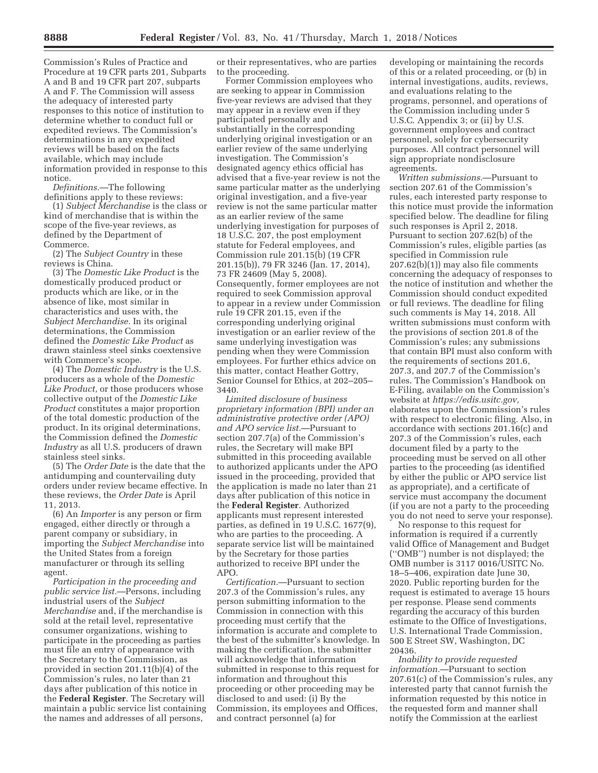Commission's Rules of Practice and Procedure at 19 CFR parts 201, Subparts A and B and 19 CFR part 207, subparts A and F. The Commission will assess the adequacy of interested party responses to this notice of institution to determine whether to conduct full or expedited reviews. The Commission's determinations in any expedited reviews will be based on the facts available, which may include information provided in response to this notice.

*Definitions.*—The following definitions apply to these reviews:

(1) *Subject Merchandise* is the class or kind of merchandise that is within the scope of the five-year reviews, as defined by the Department of Commerce.

(2) The *Subject Country* in these reviews is China.

(3) The *Domestic Like Product* is the domestically produced product or products which are like, or in the absence of like, most similar in characteristics and uses with, the *Subject Merchandise.* In its original determinations, the Commission defined the *Domestic Like Product* as drawn stainless steel sinks coextensive with Commerce's scope.

(4) The *Domestic Industry* is the U.S. producers as a whole of the *Domestic Like Product,* or those producers whose collective output of the *Domestic Like Product* constitutes a major proportion of the total domestic production of the product. In its original determinations, the Commission defined the *Domestic Industry* as all U.S. producers of drawn stainless steel sinks.

(5) The *Order Date* is the date that the antidumping and countervailing duty orders under review became effective. In these reviews, the *Order Date* is April 11, 2013.

(6) An *Importer* is any person or firm engaged, either directly or through a parent company or subsidiary, in importing the *Subject Merchandise* into the United States from a foreign manufacturer or through its selling agent.

*Participation in the proceeding and public service list.*—Persons, including industrial users of the *Subject Merchandise* and, if the merchandise is sold at the retail level, representative consumer organizations, wishing to participate in the proceeding as parties must file an entry of appearance with the Secretary to the Commission, as provided in section 201.11(b)(4) of the Commission's rules, no later than 21 days after publication of this notice in the **Federal Register**. The Secretary will maintain a public service list containing the names and addresses of all persons,

or their representatives, who are parties to the proceeding.

Former Commission employees who are seeking to appear in Commission five-year reviews are advised that they may appear in a review even if they participated personally and substantially in the corresponding underlying original investigation or an earlier review of the same underlying investigation. The Commission's designated agency ethics official has advised that a five-year review is not the same particular matter as the underlying original investigation, and a five-year review is not the same particular matter as an earlier review of the same underlying investigation for purposes of 18 U.S.C. 207, the post employment statute for Federal employees, and Commission rule 201.15(b) (19 CFR 201.15(b)), 79 FR 3246 (Jan. 17, 2014), 73 FR 24609 (May 5, 2008). Consequently, former employees are not required to seek Commission approval to appear in a review under Commission rule 19 CFR 201.15, even if the corresponding underlying original investigation or an earlier review of the same underlying investigation was pending when they were Commission employees. For further ethics advice on this matter, contact Heather Gottry, Senior Counsel for Ethics, at 202–205– 3440.

*Limited disclosure of business proprietary information (BPI) under an administrative protective order (APO) and APO service list.*—Pursuant to section 207.7(a) of the Commission's rules, the Secretary will make BPI submitted in this proceeding available to authorized applicants under the APO issued in the proceeding, provided that the application is made no later than 21 days after publication of this notice in the **Federal Register**. Authorized applicants must represent interested parties, as defined in 19 U.S.C. 1677(9), who are parties to the proceeding. A separate service list will be maintained by the Secretary for those parties authorized to receive BPI under the APO.

*Certification.*—Pursuant to section 207.3 of the Commission's rules, any person submitting information to the Commission in connection with this proceeding must certify that the information is accurate and complete to the best of the submitter's knowledge. In making the certification, the submitter will acknowledge that information submitted in response to this request for information and throughout this proceeding or other proceeding may be disclosed to and used: (i) By the Commission, its employees and Offices, and contract personnel (a) for

developing or maintaining the records of this or a related proceeding, or (b) in internal investigations, audits, reviews, and evaluations relating to the programs, personnel, and operations of the Commission including under 5 U.S.C. Appendix 3; or (ii) by U.S. government employees and contract personnel, solely for cybersecurity purposes. All contract personnel will sign appropriate nondisclosure agreements.

*Written submissions.*—Pursuant to section 207.61 of the Commission's rules, each interested party response to this notice must provide the information specified below. The deadline for filing such responses is April 2, 2018. Pursuant to section 207.62(b) of the Commission's rules, eligible parties (as specified in Commission rule 207.62(b)(1)) may also file comments concerning the adequacy of responses to the notice of institution and whether the Commission should conduct expedited or full reviews. The deadline for filing such comments is May 14, 2018. All written submissions must conform with the provisions of section 201.8 of the Commission's rules; any submissions that contain BPI must also conform with the requirements of sections 201.6, 207.3, and 207.7 of the Commission's rules. The Commission's Handbook on E-Filing, available on the Commission's website at *https://edis.usitc.gov,*  elaborates upon the Commission's rules with respect to electronic filing. Also, in accordance with sections 201.16(c) and 207.3 of the Commission's rules, each document filed by a party to the proceeding must be served on all other parties to the proceeding (as identified by either the public or APO service list as appropriate), and a certificate of service must accompany the document (if you are not a party to the proceeding you do not need to serve your response).

No response to this request for information is required if a currently valid Office of Management and Budget (''OMB'') number is not displayed; the OMB number is 3117 0016/USITC No. 18–5–406, expiration date June 30, 2020. Public reporting burden for the request is estimated to average 15 hours per response. Please send comments regarding the accuracy of this burden estimate to the Office of Investigations, U.S. International Trade Commission, 500 E Street SW, Washington, DC 20436.

*Inability to provide requested information.*—Pursuant to section 207.61(c) of the Commission's rules, any interested party that cannot furnish the information requested by this notice in the requested form and manner shall notify the Commission at the earliest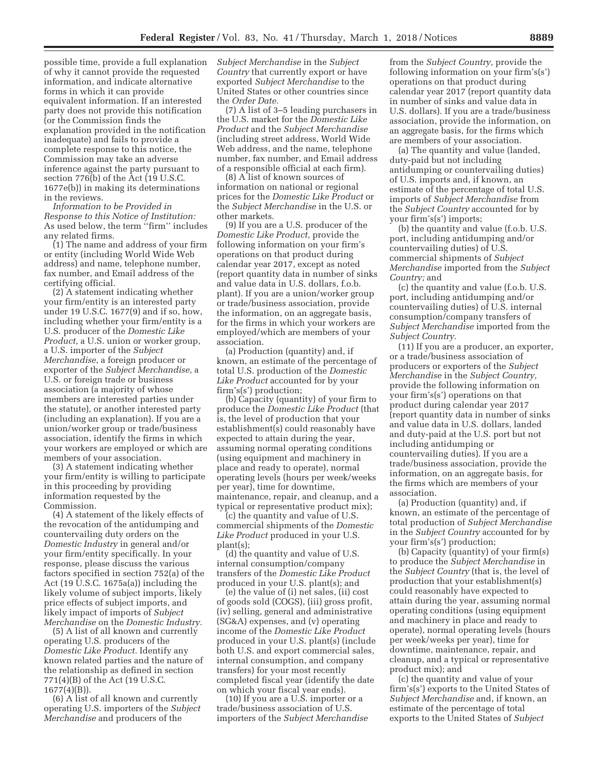possible time, provide a full explanation of why it cannot provide the requested information, and indicate alternative forms in which it can provide equivalent information. If an interested party does not provide this notification (or the Commission finds the explanation provided in the notification inadequate) and fails to provide a complete response to this notice, the Commission may take an adverse inference against the party pursuant to section 776(b) of the Act (19 U.S.C. 1677e(b)) in making its determinations in the reviews.

*Information to be Provided in Response to this Notice of Institution:*  As used below, the term ''firm'' includes any related firms.

(1) The name and address of your firm or entity (including World Wide Web address) and name, telephone number, fax number, and Email address of the certifying official.

(2) A statement indicating whether your firm/entity is an interested party under 19 U.S.C. 1677(9) and if so, how, including whether your firm/entity is a U.S. producer of the *Domestic Like Product,* a U.S. union or worker group, a U.S. importer of the *Subject Merchandise*, a foreign producer or exporter of the *Subject Merchandise,* a U.S. or foreign trade or business association (a majority of whose members are interested parties under the statute), or another interested party (including an explanation). If you are a union/worker group or trade/business association, identify the firms in which your workers are employed or which are members of your association.

(3) A statement indicating whether your firm/entity is willing to participate in this proceeding by providing information requested by the Commission.

(4) A statement of the likely effects of the revocation of the antidumping and countervailing duty orders on the *Domestic Industry* in general and/or your firm/entity specifically. In your response, please discuss the various factors specified in section 752(a) of the Act (19 U.S.C. 1675a(a)) including the likely volume of subject imports, likely price effects of subject imports, and likely impact of imports of *Subject Merchandise* on the *Domestic Industry.* 

(5) A list of all known and currently operating U.S. producers of the *Domestic Like Product.* Identify any known related parties and the nature of the relationship as defined in section 771(4)(B) of the Act (19 U.S.C.  $1677(4)(B)$ ).

(6) A list of all known and currently operating U.S. importers of the *Subject Merchandise* and producers of the

*Subject Merchandise* in the *Subject Country* that currently export or have exported *Subject Merchandise* to the United States or other countries since the *Order Date.* 

(7) A list of 3–5 leading purchasers in the U.S. market for the *Domestic Like Product* and the *Subject Merchandise*  (including street address, World Wide Web address, and the name, telephone number, fax number, and Email address of a responsible official at each firm).

(8) A list of known sources of information on national or regional prices for the *Domestic Like Product* or the *Subject Merchandise* in the U.S. or other markets.

(9) If you are a U.S. producer of the *Domestic Like Product,* provide the following information on your firm's operations on that product during calendar year 2017, except as noted (report quantity data in number of sinks and value data in U.S. dollars, f.o.b. plant). If you are a union/worker group or trade/business association, provide the information, on an aggregate basis, for the firms in which your workers are employed/which are members of your association.

(a) Production (quantity) and, if known, an estimate of the percentage of total U.S. production of the *Domestic Like Product* accounted for by your firm's(s') production;

(b) Capacity (quantity) of your firm to produce the *Domestic Like Product* (that is, the level of production that your establishment(s) could reasonably have expected to attain during the year, assuming normal operating conditions (using equipment and machinery in place and ready to operate), normal operating levels (hours per week/weeks per year), time for downtime, maintenance, repair, and cleanup, and a typical or representative product mix);

(c) the quantity and value of U.S. commercial shipments of the *Domestic Like Product* produced in your U.S. plant(s);

(d) the quantity and value of U.S. internal consumption/company transfers of the *Domestic Like Product*  produced in your U.S. plant(s); and

(e) the value of (i) net sales, (ii) cost of goods sold (COGS), (iii) gross profit, (iv) selling, general and administrative (SG&A) expenses, and (v) operating income of the *Domestic Like Product*  produced in your U.S. plant(s) (include both U.S. and export commercial sales, internal consumption, and company transfers) for your most recently completed fiscal year (identify the date on which your fiscal year ends).

(10) If you are a U.S. importer or a trade/business association of U.S. importers of the *Subject Merchandise* 

from the *Subject Country,* provide the following information on your firm's(s') operations on that product during calendar year 2017 (report quantity data in number of sinks and value data in U.S. dollars). If you are a trade/business association, provide the information, on an aggregate basis, for the firms which are members of your association.

(a) The quantity and value (landed, duty-paid but not including antidumping or countervailing duties) of U.S. imports and, if known, an estimate of the percentage of total U.S. imports of *Subject Merchandise* from the *Subject Country* accounted for by your firm's(s') imports;

(b) the quantity and value (f.o.b. U.S. port, including antidumping and/or countervailing duties) of U.S. commercial shipments of *Subject Merchandise* imported from the *Subject Country;* and

(c) the quantity and value (f.o.b. U.S. port, including antidumping and/or countervailing duties) of U.S. internal consumption/company transfers of *Subject Merchandise* imported from the *Subject Country.* 

(11) If you are a producer, an exporter, or a trade/business association of producers or exporters of the *Subject Merchandise* in the *Subject Country,*  provide the following information on your firm's(s') operations on that product during calendar year 2017 (report quantity data in number of sinks and value data in U.S. dollars, landed and duty-paid at the U.S. port but not including antidumping or countervailing duties). If you are a trade/business association, provide the information, on an aggregate basis, for the firms which are members of your association.

(a) Production (quantity) and, if known, an estimate of the percentage of total production of *Subject Merchandise*  in the *Subject Country* accounted for by your firm's(s') production;

(b) Capacity (quantity) of your firm(s) to produce the *Subject Merchandise* in the *Subject Country* (that is, the level of production that your establishment(s) could reasonably have expected to attain during the year, assuming normal operating conditions (using equipment and machinery in place and ready to operate), normal operating levels (hours per week/weeks per year), time for downtime, maintenance, repair, and cleanup, and a typical or representative product mix); and

(c) the quantity and value of your firm's(s') exports to the United States of *Subject Merchandise* and, if known, an estimate of the percentage of total exports to the United States of *Subject*